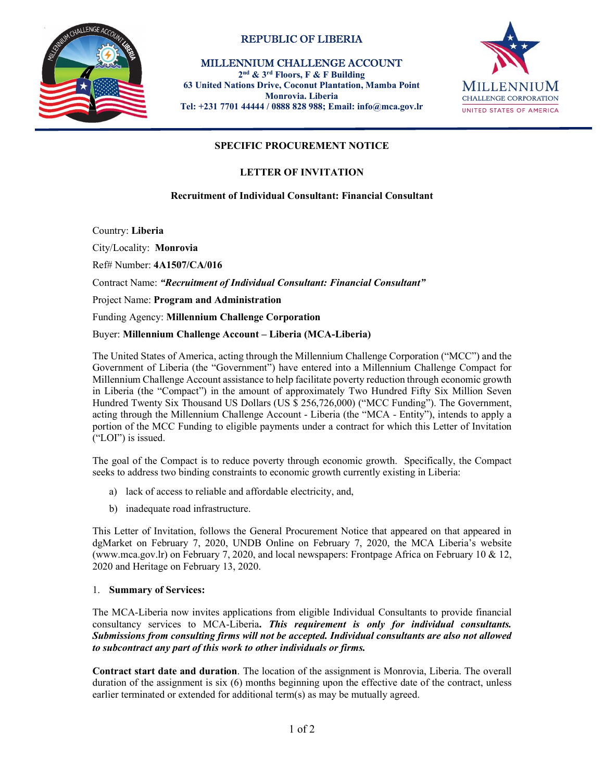

# REPUBLIC OF LIBERIA

 MILLENNIUM CHALLENGE ACCOUNT 2nd & 3rd Floors, F & F Building 63 United Nations Drive, Coconut Plantation, Mamba Point Monrovia. Liberia Tel: +231 7701 44444 / 0888 828 988; Email: info@mca.gov.lr



# SPECIFIC PROCUREMENT NOTICE

### LETTER OF INVITATION

### Recruitment of Individual Consultant: Financial Consultant

Country: Liberia

City/Locality: Monrovia

Ref# Number: 4A1507/CA/016

Contract Name: "Recruitment of Individual Consultant: Financial Consultant"

Project Name: Program and Administration

# Funding Agency: **Millennium Challenge Corporation**<br>Buyer: **Millennium Challenge Account – Liberia (MCA-Liberia)**

The United States of America, acting through the Millennium Challenge Corporation ("MCC") and the Government of Liberia (the "Government") have entered into a Millennium Challenge Compact for Millennium Challenge Account assistance to help facilitate poverty reduction through economic growth in Liberia (the "Compact") in the amount of approximately Two Hundred Fifty Six Million Seven Hundred Twenty Six Thousand US Dollars (US \$ 256,726,000) ("MCC Funding"). The Government, acting through the Millennium Challenge Account - Liberia (the "MCA - Entity"), intends to apply a portion of the MCC Funding to eligible payments under a contract for which this Letter of Invitation ("LOI") is issued.

The goal of the Compact is to reduce poverty through economic growth. Specifically, the Compact seeks to address two binding constraints to economic growth currently existing in Liberia:

- a) lack of access to reliable and affordable electricity, and,
- b) inadequate road infrastructure.

This Letter of Invitation, follows the General Procurement Notice that appeared on that appeared in dgMarket on February 7, 2020, UNDB Online on February 7, 2020, the MCA Liberia's website (www.mca.gov.lr) on February 7, 2020, and local newspapers: Frontpage Africa on February 10 & 12, 2020 and Heritage on February 13, 2020.

#### 1. Summary of Services:

The MCA-Liberia now invites applications from eligible Individual Consultants to provide financial consultancy services to MCA-Liberia. This requirement is only for individual consultants. Submissions from consulting firms will not be accepted. Individual consultants are also not allowed to subcontract any part of this work to other individuals or firms.

Contract start date and duration. The location of the assignment is Monrovia, Liberia. The overall duration of the assignment is six (6) months beginning upon the effective date of the contract, unless earlier terminated or extended for additional term(s) as may be mutually agreed.